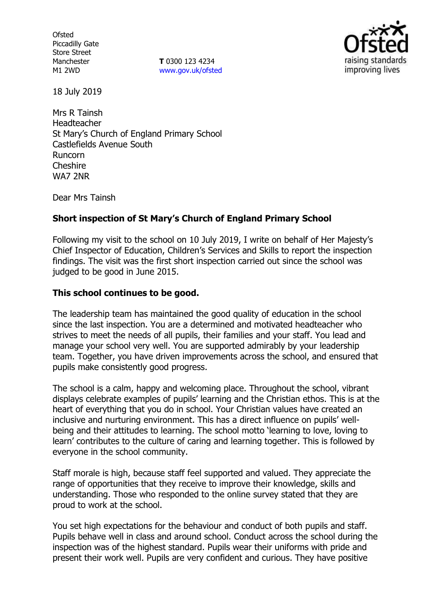**Ofsted** Piccadilly Gate Store Street Manchester M1 2WD

**T** 0300 123 4234 www.gov.uk/ofsted



18 July 2019

Mrs R Tainsh Headteacher St Mary's Church of England Primary School Castlefields Avenue South Runcorn Cheshire WA7 2NR

Dear Mrs Tainsh

# **Short inspection of St Mary's Church of England Primary School**

Following my visit to the school on 10 July 2019, I write on behalf of Her Majesty's Chief Inspector of Education, Children's Services and Skills to report the inspection findings. The visit was the first short inspection carried out since the school was judged to be good in June 2015.

## **This school continues to be good.**

The leadership team has maintained the good quality of education in the school since the last inspection. You are a determined and motivated headteacher who strives to meet the needs of all pupils, their families and your staff. You lead and manage your school very well. You are supported admirably by your leadership team. Together, you have driven improvements across the school, and ensured that pupils make consistently good progress.

The school is a calm, happy and welcoming place. Throughout the school, vibrant displays celebrate examples of pupils' learning and the Christian ethos. This is at the heart of everything that you do in school. Your Christian values have created an inclusive and nurturing environment. This has a direct influence on pupils' wellbeing and their attitudes to learning. The school motto 'learning to love, loving to learn' contributes to the culture of caring and learning together. This is followed by everyone in the school community.

Staff morale is high, because staff feel supported and valued. They appreciate the range of opportunities that they receive to improve their knowledge, skills and understanding. Those who responded to the online survey stated that they are proud to work at the school.

You set high expectations for the behaviour and conduct of both pupils and staff. Pupils behave well in class and around school. Conduct across the school during the inspection was of the highest standard. Pupils wear their uniforms with pride and present their work well. Pupils are very confident and curious. They have positive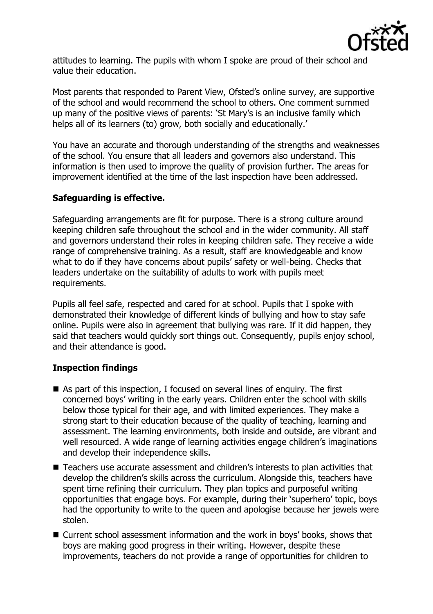

attitudes to learning. The pupils with whom I spoke are proud of their school and value their education.

Most parents that responded to Parent View, Ofsted's online survey, are supportive of the school and would recommend the school to others. One comment summed up many of the positive views of parents: 'St Mary's is an inclusive family which helps all of its learners (to) grow, both socially and educationally.'

You have an accurate and thorough understanding of the strengths and weaknesses of the school. You ensure that all leaders and governors also understand. This information is then used to improve the quality of provision further. The areas for improvement identified at the time of the last inspection have been addressed.

## **Safeguarding is effective.**

Safeguarding arrangements are fit for purpose. There is a strong culture around keeping children safe throughout the school and in the wider community. All staff and governors understand their roles in keeping children safe. They receive a wide range of comprehensive training. As a result, staff are knowledgeable and know what to do if they have concerns about pupils' safety or well-being. Checks that leaders undertake on the suitability of adults to work with pupils meet requirements.

Pupils all feel safe, respected and cared for at school. Pupils that I spoke with demonstrated their knowledge of different kinds of bullying and how to stay safe online. Pupils were also in agreement that bullying was rare. If it did happen, they said that teachers would quickly sort things out. Consequently, pupils enjoy school, and their attendance is good.

# **Inspection findings**

- As part of this inspection, I focused on several lines of enquiry. The first concerned boys' writing in the early years. Children enter the school with skills below those typical for their age, and with limited experiences. They make a strong start to their education because of the quality of teaching, learning and assessment. The learning environments, both inside and outside, are vibrant and well resourced. A wide range of learning activities engage children's imaginations and develop their independence skills.
- Teachers use accurate assessment and children's interests to plan activities that develop the children's skills across the curriculum. Alongside this, teachers have spent time refining their curriculum. They plan topics and purposeful writing opportunities that engage boys. For example, during their 'superhero' topic, boys had the opportunity to write to the queen and apologise because her jewels were stolen.
- Current school assessment information and the work in boys' books, shows that boys are making good progress in their writing. However, despite these improvements, teachers do not provide a range of opportunities for children to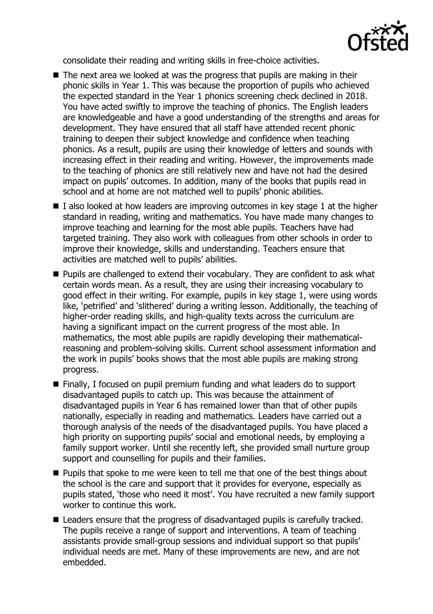

consolidate their reading and writing skills in free-choice activities.

- $\blacksquare$  The next area we looked at was the progress that pupils are making in their phonic skills in Year 1. This was because the proportion of pupils who achieved the expected standard in the Year 1 phonics screening check declined in 2018. You have acted swiftly to improve the teaching of phonics. The English leaders are knowledgeable and have a good understanding of the strengths and areas for development. They have ensured that all staff have attended recent phonic training to deepen their subject knowledge and confidence when teaching phonics. As a result, pupils are using their knowledge of letters and sounds with increasing effect in their reading and writing. However, the improvements made to the teaching of phonics are still relatively new and have not had the desired impact on pupils' outcomes. In addition, many of the books that pupils read in school and at home are not matched well to pupils' phonic abilities.
- $\blacksquare$  I also looked at how leaders are improving outcomes in key stage 1 at the higher standard in reading, writing and mathematics. You have made many changes to improve teaching and learning for the most able pupils. Teachers have had targeted training. They also work with colleagues from other schools in order to improve their knowledge, skills and understanding. Teachers ensure that activities are matched well to pupils' abilities.
- **Pupils are challenged to extend their vocabulary. They are confident to ask what** certain words mean. As a result, they are using their increasing vocabulary to good effect in their writing. For example, pupils in key stage 1, were using words like, 'petrified' and 'slithered' during a writing lesson. Additionally, the teaching of higher-order reading skills, and high-quality texts across the curriculum are having a significant impact on the current progress of the most able. In mathematics, the most able pupils are rapidly developing their mathematicalreasoning and problem-solving skills. Current school assessment information and the work in pupils' books shows that the most able pupils are making strong progress.
- Finally, I focused on pupil premium funding and what leaders do to support disadvantaged pupils to catch up. This was because the attainment of disadvantaged pupils in Year 6 has remained lower than that of other pupils nationally, especially in reading and mathematics. Leaders have carried out a thorough analysis of the needs of the disadvantaged pupils. You have placed a high priority on supporting pupils' social and emotional needs, by employing a family support worker. Until she recently left, she provided small nurture group support and counselling for pupils and their families.
- **Pupils that spoke to me were keen to tell me that one of the best things about** the school is the care and support that it provides for everyone, especially as pupils stated, 'those who need it most'. You have recruited a new family support worker to continue this work.
- Leaders ensure that the progress of disadvantaged pupils is carefully tracked. The pupils receive a range of support and interventions. A team of teaching assistants provide small-group sessions and individual support so that pupils' individual needs are met. Many of these improvements are new, and are not embedded.